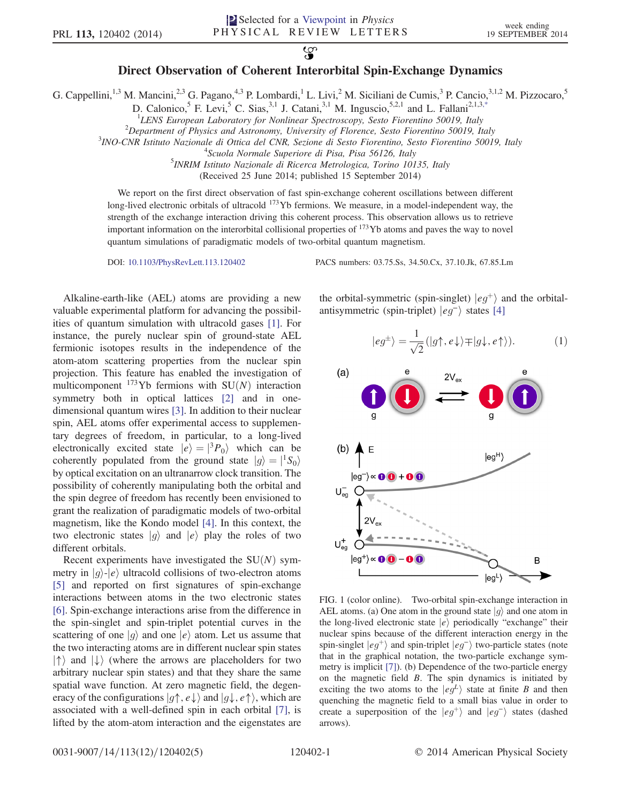## $\mathcal{Q}$ Direct Observation of Coherent Interorbital Spin-Exchange Dynamics

<span id="page-0-1"></span>G. Cappellini,<sup>1,3</sup> M. Mancini,<sup>2,3</sup> G. Pagano,<sup>4,3</sup> P. Lombardi,<sup>1</sup> L. Livi,<sup>2</sup> M. Siciliani de Cumis,<sup>3</sup> P. Cancio,<sup>3,1,2</sup> M. Pizzocaro,<sup>5</sup>

D. Calonico,<sup>5</sup> F. Levi,<sup>5</sup> C. Sias,<sup>3,1</sup> J. Catani,<sup>3,1</sup> M. Inguscio,<sup>5,2,1</sup> and L. Fallani<sup>2,1,[3,\\*](#page-4-0)</sup>

<sup>1</sup>LENS European Laboratory for Nonlinear Spectroscopy, Sesto Fiorentino 50019, Italy<br><sup>2</sup>Department of Physics and Astronomy, University of Florence, Sesto Fiorentino 50010, Italy

<sup>2</sup>Department of Physics and Astronomy, University of Florence, Sesto Fiorentino 50019, Italy

<sup>3</sup>INO-CNR Istituto Nazionale di Ottica del CNR, Sezione di Sesto Fiorentino, Sesto Fiorentino 50019, Italy

 $4$ Scuola Normale Superiore di Pisa, Pisa 56126, Italy

<sup>3</sup> INRIM Istituto Nazionale di Ricerca Metrologica, Torino 10135, Italy

(Received 25 June 2014; published 15 September 2014)

We report on the first direct observation of fast spin-exchange coherent oscillations between different long-lived electronic orbitals of ultracold <sup>173</sup>Yb fermions. We measure, in a model-independent way, the strength of the exchange interaction driving this coherent process. This observation allows us to retrieve important information on the interorbital collisional properties of  $173$ Yb atoms and paves the way to novel quantum simulations of paradigmatic models of two-orbital quantum magnetism.

DOI: [10.1103/PhysRevLett.113.120402](http://dx.doi.org/10.1103/PhysRevLett.113.120402) PACS numbers: 03.75.Ss, 34.50.Cx, 37.10.Jk, 67.85.Lm

Alkaline-earth-like (AEL) atoms are providing a new valuable experimental platform for advancing the possibilities of quantum simulation with ultracold gases [\[1\]](#page-4-1). For instance, the purely nuclear spin of ground-state AEL fermionic isotopes results in the independence of the atom-atom scattering properties from the nuclear spin projection. This feature has enabled the investigation of multicomponent  $173\text{Yb}$  fermions with SU(N) interaction symmetry both in optical lattices [\[2\]](#page-4-2) and in onedimensional quantum wires [\[3\]](#page-4-3). In addition to their nuclear spin, AEL atoms offer experimental access to supplementary degrees of freedom, in particular, to a long-lived electronically excited state  $|e\rangle = |^{3}P_{0}\rangle$  which can be coherently populated from the ground state  $|g\rangle = |{}^1S_0\rangle$ by optical excitation on an ultranarrow clock transition. The possibility of coherently manipulating both the orbital and the spin degree of freedom has recently been envisioned to grant the realization of paradigmatic models of two-orbital magnetism, like the Kondo model [\[4\]](#page-4-4). In this context, the two electronic states  $|g\rangle$  and  $|e\rangle$  play the roles of two different orbitals.

Recent experiments have investigated the  $SU(N)$  symmetry in  $|g\rangle$ - $|e\rangle$  ultracold collisions of two-electron atoms [\[5\]](#page-4-5) and reported on first signatures of spin-exchange interactions between atoms in the two electronic states [\[6\]](#page-4-6). Spin-exchange interactions arise from the difference in the spin-singlet and spin-triplet potential curves in the scattering of one  $|g\rangle$  and one  $|e\rangle$  atom. Let us assume that the two interacting atoms are in different nuclear spin states  $|\uparrow\rangle$  and  $|\downarrow\rangle$  (where the arrows are placeholders for two arbitrary nuclear spin states) and that they share the same spatial wave function. At zero magnetic field, the degeneracy of the configurations  $|g\uparrow, e \downarrow\rangle$  and  $|g\downarrow, e \uparrow\rangle$ , which are associated with a well-defined spin in each orbital [\[7\],](#page-4-7) is lifted by the atom-atom interaction and the eigenstates are

the orbital-symmetric (spin-singlet)  $|eg^+\rangle$  and the orbitalantisymmetric (spin-triplet)  $|eg^{-}\rangle$  states [\[4\]](#page-4-4)

$$
|eg^{\pm}\rangle = \frac{1}{\sqrt{2}} (|g\uparrow, e\downarrow\rangle \mp |g\downarrow, e\uparrow\rangle). \tag{1}
$$

<span id="page-0-0"></span>

FIG. 1 (color online). Two-orbital spin-exchange interaction in AEL atoms. (a) One atom in the ground state  $|g\rangle$  and one atom in the long-lived electronic state  $|e\rangle$  periodically "exchange" their nuclear spins because of the different interaction energy in the spin-singlet  $|eg^+\rangle$  and spin-triplet  $|eg^-\rangle$  two-particle states (note that in the graphical notation, the two-particle exchange symmetry is implicit [\[7\]](#page-4-7)). (b) Dependence of the two-particle energy on the magnetic field  $B$ . The spin dynamics is initiated by exciting the two atoms to the  $|eg^L\rangle$  state at finite B and then quenching the magnetic field to a small bias value in order to create a superposition of the  $|eg^+\rangle$  and  $|eg^-\rangle$  states (dashed arrows).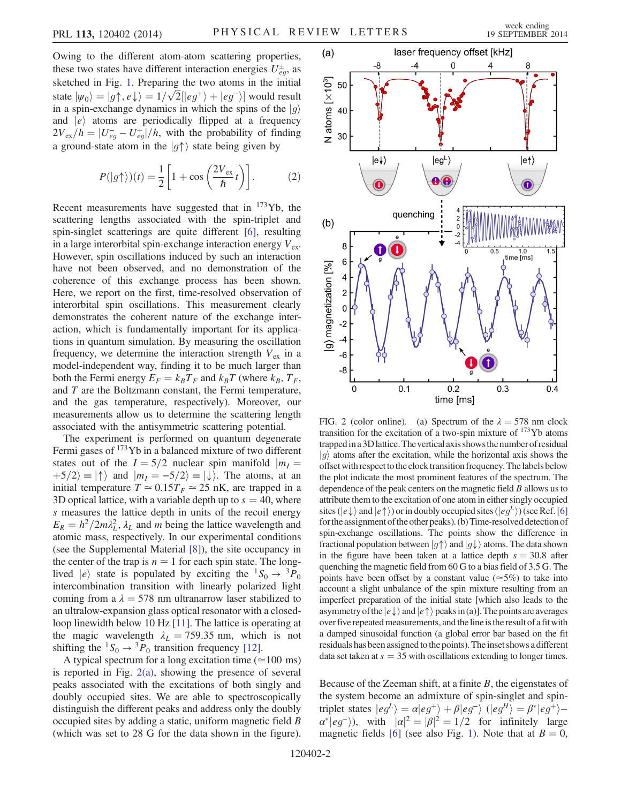Owing to the different atom-atom scattering properties, these two states have different interaction energies  $U_{eg}^{\pm}$ , as sketched in Fig. [1.](#page-0-0) Preparing the two atoms in the initial state  $|\psi_0\rangle = |g\uparrow, e\downarrow\rangle = 1/\sqrt{2} [|eg^+\rangle + |eg^-\rangle]$  would result<br>in a spin-exchange dynamics in which the spins of the  $|g\rangle$ in a spin-exchange dynamics in which the spins of the  $|q\rangle$ and  $|e\rangle$  atoms are periodically flipped at a frequency  $2V_{ex}/h = |U_{eg} - U_{eg}^{+}|/h$ , with the probability of finding<br>a ground state atom in the  $|a\rangle$  state being given by a ground-state atom in the  $|g\uparrow\rangle$  state being given by

<span id="page-1-0"></span>
$$
P(|g\uparrow\rangle)(t) = \frac{1}{2} \left[ 1 + \cos\left(\frac{2V_{\text{ex}}}{\hbar}t\right) \right].
$$
 (2)

Recent measurements have suggested that in  $173\gamma$ b, the scattering lengths associated with the spin-triplet and spin-singlet scatterings are quite different [\[6\],](#page-4-6) resulting in a large interorbital spin-exchange interaction energy  $V_{\text{ex}}$ . However, spin oscillations induced by such an interaction have not been observed, and no demonstration of the coherence of this exchange process has been shown. Here, we report on the first, time-resolved observation of interorbital spin oscillations. This measurement clearly demonstrates the coherent nature of the exchange interaction, which is fundamentally important for its applications in quantum simulation. By measuring the oscillation frequency, we determine the interaction strength  $V_{ex}$  in a model-independent way, finding it to be much larger than both the Fermi energy  $E_F = k_B T_F$  and  $k_B T$  (where  $k_B$ ,  $T_F$ , and T are the Boltzmann constant, the Fermi temperature, and the gas temperature, respectively). Moreover, our measurements allow us to determine the scattering length associated with the antisymmetric scattering potential.

The experiment is performed on quantum degenerate Fermi gases of  $173$ Yb in a balanced mixture of two different states out of the  $I = 5/2$  nuclear spin manifold  $|m_I =$  $\ket{+5/2} \equiv \ket{\uparrow}$  and  $\ket{m_I = -5/2} \equiv \ket{\downarrow}$ . The atoms, at an initial temperature  $T \approx 0.15T_F \approx 25$  nK, are trapped in a 3D optical lattice, with a variable depth up to  $s = 40$ , where s measures the lattice depth in units of the recoil energy  $E_R = h^2/2m\lambda_L^2$ ,  $\lambda_L$  and m being the lattice wavelength and atomic mass, respectively. In our experimental conditions atomic mass, respectively. In our experimental conditions (see the Supplemental Material [\[8\]](#page-4-8)), the site occupancy in the center of the trap is  $n \approx 1$  for each spin state. The longlived  $|e\rangle$  state is populated by exciting the  ${}^{1}S_0 \rightarrow {}^{3}P_0$ intercombination transition with linearly polarized light coming from a  $\lambda = 578$  nm ultranarrow laser stabilized to an ultralow-expansion glass optical resonator with a closedloop linewidth below 10 Hz [\[11\]](#page-4-9). The lattice is operating at the magic wavelength  $\lambda_L = 759.35$  nm, which is not shifting the  ${}^1S_0 \rightarrow {}^3P_0$  transition frequency [\[12\]](#page-4-10).

A typical spectrum for a long excitation time  $(\simeq 100 \text{ ms})$ is reported in Fig. [2\(a\),](#page-1-0) showing the presence of several peaks associated with the excitations of both singly and doubly occupied sites. We are able to spectroscopically distinguish the different peaks and address only the doubly occupied sites by adding a static, uniform magnetic field B (which was set to 28 G for the data shown in the figure).



FIG. 2 (color online). (a) Spectrum of the  $\lambda = 578$  nm clock transition for the excitation of a two-spin mixture of  $173$ Yb atoms trappedin a 3Dlattice.The vertical axis showsthe number of residual  $|g\rangle$  atoms after the excitation, while the horizontal axis shows the offset with respect to the clock transition frequency. The labels below the plot indicate the most prominent features of the spectrum. The dependence of the peak centers on the magnetic field B allows us to attribute them to the excitation of one atom in either singly occupied sites ( $|e \downarrow \rangle$  and  $|e \uparrow \rangle$ ) or in doubly occupied sites ( $|e q^L \rangle$ ) (see Ref. [\[6\]](#page-4-6) for the assignment of the other peaks). (b) Time-resolved detection of spin-exchange oscillations. The points show the difference in fractional population between  $|g\uparrow\rangle$  and  $|g\downarrow\rangle$  atoms. The data shown in the figure have been taken at a lattice depth  $s = 30.8$  after quenching the magnetic field from 60 G to a bias field of 3.5 G. The points have been offset by a constant value ( $\approx$ 5%) to take into account a slight unbalance of the spin mixture resulting from an imperfect preparation of the initial state [which also leads to the asymmetry of the  $|e \downarrow \rangle$  and  $|e \uparrow \rangle$  peaks in (a)]. The points are averages over five repeated measurements, and the line is the result of a fit with a damped sinusoidal function (a global error bar based on the fit residuals has been assigned to the points). The inset shows a different data set taken at  $s = 35$  with oscillations extending to longer times.

Because of the Zeeman shift, at a finite  $B$ , the eigenstates of the system become an admixture of spin-singlet and spintriplet states  $|eg^L\rangle = \alpha |eg^+\rangle + \beta |eg^-\rangle$  ( $|eg^H\rangle = \beta^* |eg^+\rangle - \beta^* |eg^-\rangle$  $\alpha^*|eg^*\rangle$ , with  $|\alpha|^2 = |\beta|^2 = 1/2$  for infinitely large<br>magnetic fields [6] (see also Fig. 1). Note that at  $B=0$ . magnetic fields [\[6\]](#page-4-6) (see also Fig. [1](#page-0-0)). Note that at  $B = 0$ ,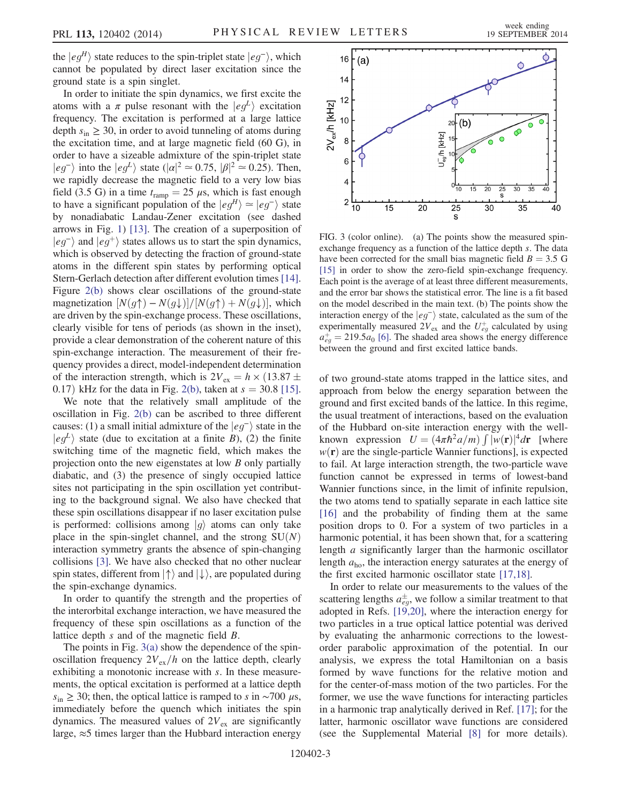the  $|eg^H\rangle$  state reduces to the spin-triplet state  $|eg^-\rangle$ , which cannot be populated by direct laser excitation since the ground state is a spin singlet.

In order to initiate the spin dynamics, we first excite the atoms with a  $\pi$  pulse resonant with the  $|eg^L\rangle$  excitation frequency. The excitation is performed at a large lattice depth  $s_{\text{in}} \geq 30$ , in order to avoid tunneling of atoms during the excitation time, and at large magnetic field (60 G), in order to have a sizeable admixture of the spin-triplet state  $|eg^{-}\rangle$  into the  $|eg^{L}\rangle$  state  $(|\alpha|^2 \approx 0.75, |\beta|^2 \approx 0.25)$ . Then,<br>we rapidly decrease the magnetic field to a very low bias we rapidly decrease the magnetic field to a very low bias field (3.5 G) in a time  $t_{\text{ramp}} = 25 \mu s$ , which is fast enough to have a significant population of the  $|eg^H\rangle \simeq |eg^-\rangle$  state by nonadiabatic Landau-Zener excitation (see dashed arrows in Fig. [1\)](#page-0-0) [\[13\]](#page-4-11). The creation of a superposition of  $|eg^{-}\rangle$  and  $|eg^{+}\rangle$  states allows us to start the spin dynamics, which is observed by detecting the fraction of ground-state atoms in the different spin states by performing optical Stern-Gerlach detection after different evolution times [\[14\]](#page-4-12). Figure [2\(b\)](#page-1-0) shows clear oscillations of the ground-state magnetization  $[N(g\uparrow)-N(g\downarrow)]/[N(g\uparrow)+N(g\downarrow)]$ , which are driven by the spin-exchange process. These oscillations, clearly visible for tens of periods (as shown in the inset), provide a clear demonstration of the coherent nature of this spin-exchange interaction. The measurement of their frequency provides a direct, model-independent determination of the interaction strength, which is  $2V_{ex} = h \times (13.87 \pm 0.17)$  kHz for the data in Fig. 2(b) taken at  $s = 30.8$  [15] 0.17) kHz for the data in Fig. [2\(b\)](#page-1-0), taken at  $s = 30.8$  [\[15\]](#page-4-13).

We note that the relatively small amplitude of the oscillation in Fig. [2\(b\)](#page-1-0) can be ascribed to three different causes: (1) a small initial admixture of the  $|eg^{-}\rangle$  state in the  $|eg^{\perp}\rangle$  state (due to excitation at a finite B), (2) the finite switching time of the magnetic field, which makes the projection onto the new eigenstates at low B only partially diabatic, and (3) the presence of singly occupied lattice sites not participating in the spin oscillation yet contributing to the background signal. We also have checked that these spin oscillations disappear if no laser excitation pulse is performed: collisions among  $|q\rangle$  atoms can only take place in the spin-singlet channel, and the strong  $SU(N)$ interaction symmetry grants the absence of spin-changing collisions [\[3\].](#page-4-3) We have also checked that no other nuclear spin states, different from  $|\uparrow\rangle$  and  $|\downarrow\rangle$ , are populated during the spin-exchange dynamics.

In order to quantify the strength and the properties of the interorbital exchange interaction, we have measured the frequency of these spin oscillations as a function of the lattice depth s and of the magnetic field B.

The points in Fig.  $3(a)$  show the dependence of the spinoscillation frequency  $2V_{\text{ex}}/h$  on the lattice depth, clearly exhibiting a monotonic increase with s. In these measurements, the optical excitation is performed at a lattice depth  $s_{\text{in}} \ge 30$ ; then, the optical lattice is ramped to s in ~700  $\mu$ s, immediately before the quench which initiates the spin dynamics. The measured values of  $2V_{ex}$  are significantly large,  $\approx$ 5 times larger than the Hubbard interaction energy

<span id="page-2-0"></span>

FIG. 3 (color online). (a) The points show the measured spinexchange frequency as a function of the lattice depth s. The data have been corrected for the small bias magnetic field  $B = 3.5$  G [\[15\]](#page-4-13) in order to show the zero-field spin-exchange frequency. Each point is the average of at least three different measurements, and the error bar shows the statistical error. The line is a fit based on the model described in the main text. (b) The points show the interaction energy of the  $|eg^{-}\rangle$  state, calculated as the sum of the experimentally measured  $2V_{\text{ex}}$  and the  $U_{eg}^{+}$  calculated by using  $a_{eg}^+$  = 219.5 $a_0$  [\[6\].](#page-4-6) The shaded area shows the energy difference<br>between the ground and first excited lattice bands between the ground and first excited lattice bands.

of two ground-state atoms trapped in the lattice sites, and approach from below the energy separation between the ground and first excited bands of the lattice. In this regime, the usual treatment of interactions, based on the evaluation of the Hubbard on-site interaction energy with the wellknown expression  $U = (4\pi\hbar^2 a/m) \int |w(\mathbf{r})|^4 d\mathbf{r}$  [where  $w(\mathbf{r})$  are the single-particle Wannier functions] is expected  $w(\mathbf{r})$  are the single-particle Wannier functions], is expected to fail. At large interaction strength, the two-particle wave function cannot be expressed in terms of lowest-band Wannier functions since, in the limit of infinite repulsion, the two atoms tend to spatially separate in each lattice site [\[16\]](#page-4-14) and the probability of finding them at the same position drops to 0. For a system of two particles in a harmonic potential, it has been shown that, for a scattering length a significantly larger than the harmonic oscillator length  $a_{\text{ho}}$ , the interaction energy saturates at the energy of the first excited harmonic oscillator state [\[17,18\].](#page-4-15)

In order to relate our measurements to the values of the scattering lengths  $a_{eg}^{\pm}$ , we follow a similar treatment to that adopted in Refs. [\[19,20\]](#page-4-16), where the interaction energy for two particles in a true optical lattice potential was derived by evaluating the anharmonic corrections to the lowestorder parabolic approximation of the potential. In our analysis, we express the total Hamiltonian on a basis formed by wave functions for the relative motion and for the center-of-mass motion of the two particles. For the former, we use the wave functions for interacting particles in a harmonic trap analytically derived in Ref. [\[17\];](#page-4-15) for the latter, harmonic oscillator wave functions are considered (see the Supplemental Material [\[8\]](#page-4-8) for more details).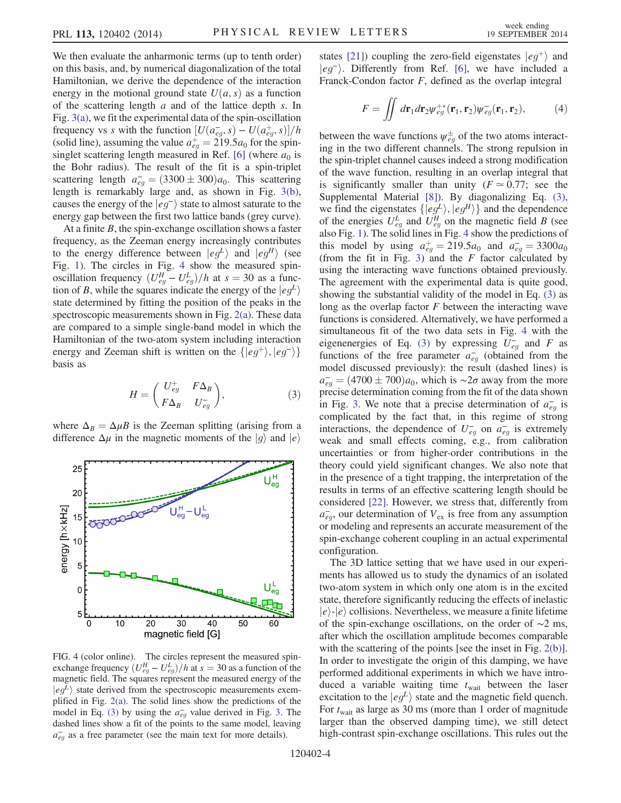We then evaluate the anharmonic terms (up to tenth order) on this basis, and, by numerical diagonalization of the total Hamiltonian, we derive the dependence of the interaction energy in the motional ground state  $U(a, s)$  as a function of the scattering length  $a$  and of the lattice depth  $s$ . In Fig. [3\(a\)](#page-2-0), we fit the experimental data of the spin-oscillation frequency vs s with the function  $[U(a_{eg}^-, s) - U(a_{eg}^+, s)]/h$ <br>(solid line) assuming the value  $a^+ = 219.5a_0$  for the spin-(solid line), assuming the value  $a_{eg}^+ = 219.5a_0$  for the spin-<br>singlet scattering length measured in Ref. [6] (where  $a_0$  is singlet scattering length measured in Ref. [\[6\]](#page-4-6) (where  $a_0$  is the Bohr radius). The result of the fit is a spin-triplet scattering length  $a_{eg}^2 = (3300 \pm 300)a_0$ . This scattering<br>length is remarkably large and as shown in Fig. 3(b) length is remarkably large and, as shown in Fig. [3\(b\)](#page-2-0), causes the energy of the  $|eg^{-}\rangle$  state to almost saturate to the energy gap between the first two lattice bands (grey curve).

At a finite  $B$ , the spin-exchange oscillation shows a faster frequency, as the Zeeman energy increasingly contributes to the energy difference between  $|eg^L\rangle$  and  $|eg^H\rangle$  (see Fig. [1\)](#page-0-0). The circles in Fig. [4](#page-3-0) show the measured spinoscillation frequency  $(U_{eg}^H - U_{eg}^L)/h$  at  $s = 30$  as a func-<br>tion of B, while the squares indicate the energy of the  $|e\rho_L|\rangle$ tion of B, while the squares indicate the energy of the  $|eg^L\rangle$ state determined by fitting the position of the peaks in the spectroscopic measurements shown in Fig. [2\(a\).](#page-1-0) These data are compared to a simple single-band model in which the Hamiltonian of the two-atom system including interaction energy and Zeeman shift is written on the  $\{ |eg^+\rangle, |eg^-\rangle\}$ basis as

$$
H = \begin{pmatrix} U_{eg}^+ & F\Delta_B \\ F\Delta_B & U_{eg}^- \end{pmatrix}, \tag{3}
$$

<span id="page-3-1"></span>where  $\Delta_B = \Delta \mu B$  is the Zeeman splitting (arising from a difference  $\Delta \mu$  in the magnetic moments of the  $|g\rangle$  and  $|e\rangle$ 

<span id="page-3-0"></span>

FIG. 4 (color online). The circles represent the measured spinexchange frequency  $(U_{eg}^H - U_{eg}^L)/h$  at  $s = 30$  as a function of the measured energy of the magnetic field. The squares represent the measured energy of the  $|eg^{\perp}\rangle$  state derived from the spectroscopic measurements exemplified in Fig. [2\(a\)](#page-1-0). The solid lines show the predictions of the model in Eq. [\(3\)](#page-3-1) by using the  $a_{eg}^-$  value derived in Fig. [3.](#page-2-0) The dashed lines show a fit of the points to the same model, leaving  $a_{eg}^-$  as a free parameter (see the main text for more details).

states [\[21\]](#page-4-17)) coupling the zero-field eigenstates  $|eg^+\rangle$  and  $|eq^{-}\rangle$ . Differently from Ref. [\[6\]](#page-4-6), we have included a Franck-Condon factor  $F$ , defined as the overlap integral

$$
F = \iint d\mathbf{r}_1 d\mathbf{r}_2 \psi_{eg}^{+*}(\mathbf{r}_1, \mathbf{r}_2) \psi_{eg}^{-}(\mathbf{r}_1, \mathbf{r}_2), \tag{4}
$$

between the wave functions  $\psi_{eg}^{\pm}$  of the two atoms interacting in the two different channels. The strong repulsion in the spin-triplet channel causes indeed a strong modification of the wave function, resulting in an overlap integral that is significantly smaller than unity ( $F \approx 0.77$ ; see the Supplemental Material [\[8\]](#page-4-8)). By diagonalizing Eq. [\(3\)](#page-3-1), we find the eigenstates  $\{|eg^L\rangle, |eg^H\rangle\}$  and the dependence of the energies  $U_{eg}^L$  and  $U_{eg}^H$  on the magnetic field B (see also Fig. [1\)](#page-0-0). The solid lines in Fig. [4](#page-3-0) show the predictions of this model by using  $a_{eg}^+ = 219.5a_0$  and  $a_{eg}^- = 3300a_0$ <br>(from the fit in Fig. 3) and the *F* factor calculated by (from the fit in Fig. [3](#page-2-0)) and the  $F$  factor calculated by using the interacting wave functions obtained previously. The agreement with the experimental data is quite good, showing the substantial validity of the model in Eq. [\(3\)](#page-3-1) as long as the overlap factor  $F$  between the interacting wave functions is considered. Alternatively, we have performed a simultaneous fit of the two data sets in Fig. [4](#page-3-0) with the eigenenergies of Eq. [\(3\)](#page-3-1) by expressing  $U_{eg}^-$  and F as functions of the free parameter  $a_{eg}^-$  (obtained from the model discussed previously): the result (dashed lines) is  $a_{eg}^{\dagger} = (4700 \pm 700)a_0$ , which is ∼2σ away from the more precise determination coming from the fit of the data shown precise determination coming from the fit of the data shown in Fig. [3](#page-2-0). We note that a precise determination of  $a_{eg}^-$  is complicated by the fact that, in this regime of strong interactions, the dependence of  $U_{eg}^-$  on  $a_{eg}^-$  is extremely weak and small effects coming, e.g., from calibration uncertainties or from higher-order contributions in the theory could yield significant changes. We also note that in the presence of a tight trapping, the interpretation of the results in terms of an effective scattering length should be considered [\[22\].](#page-4-18) However, we stress that, differently from  $a_{eg}^-$ , our determination of  $V_{ex}$  is free from any assumption or modeling and represents an accurate measurement of the spin-exchange coherent coupling in an actual experimental configuration.

The 3D lattice setting that we have used in our experiments has allowed us to study the dynamics of an isolated two-atom system in which only one atom is in the excited state, therefore significantly reducing the effects of inelastic  $|e\rangle$ - $|e\rangle$  collisions. Nevertheless, we measure a finite lifetime of the spin-exchange oscillations, on the order of ∼2 ms, after which the oscillation amplitude becomes comparable with the scattering of the points [see the inset in Fig. [2\(b\)](#page-1-0)]. In order to investigate the origin of this damping, we have performed additional experiments in which we have introduced a variable waiting time  $t_{\text{wait}}$  between the laser excitation to the  $|eg^L\rangle$  state and the magnetic field quench. For  $t_{\text{wait}}$  as large as 30 ms (more than 1 order of magnitude larger than the observed damping time), we still detect high-contrast spin-exchange oscillations. This rules out the